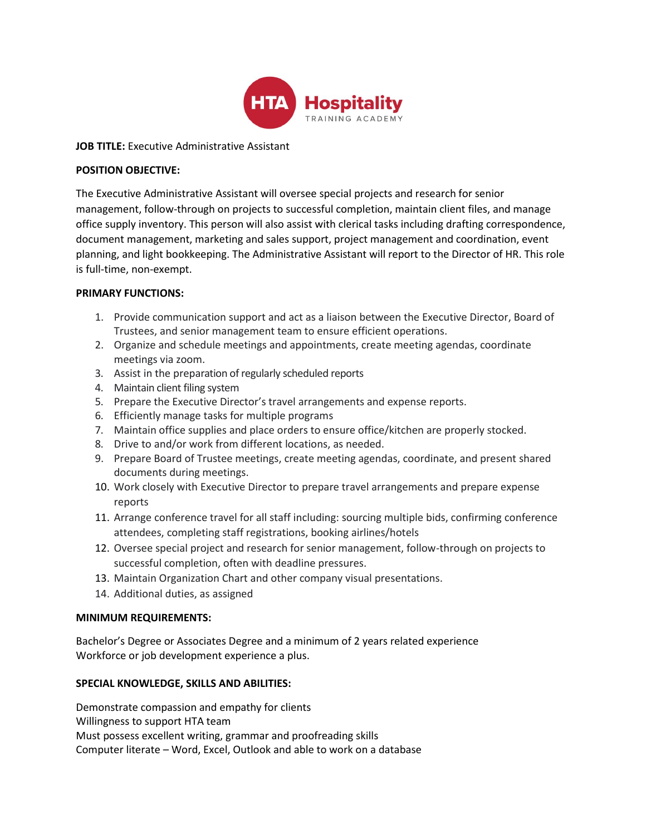

# **JOB TITLE:** Executive Administrative Assistant

# **POSITION OBJECTIVE:**

The Executive Administrative Assistant will oversee special projects and research for senior management, follow-through on projects to successful completion, maintain client files, and manage office supply inventory. This person will also assist with clerical tasks including drafting correspondence, document management, marketing and sales support, project management and coordination, event planning, and light bookkeeping. The Administrative Assistant will report to the Director of HR. This role is full-time, non-exempt.

# **PRIMARY FUNCTIONS:**

- 1. Provide communication support and act as a liaison between the Executive Director, Board of Trustees, and senior management team to ensure efficient operations.
- 2. Organize and schedule meetings and appointments, create meeting agendas, coordinate meetings via zoom.
- 3. Assist in the preparation of regularly scheduled reports
- 4. Maintain client filing system
- 5. Prepare the Executive Director's travel arrangements and expense reports.
- 6. Efficiently manage tasks for multiple programs
- 7. Maintain office supplies and place orders to ensure office/kitchen are properly stocked.
- 8. Drive to and/or work from different locations, as needed.
- 9. Prepare Board of Trustee meetings, create meeting agendas, coordinate, and present shared documents during meetings.
- 10. Work closely with Executive Director to prepare travel arrangements and prepare expense reports
- 11. Arrange conference travel for all staff including: sourcing multiple bids, confirming conference attendees, completing staff registrations, booking airlines/hotels
- 12. Oversee special project and research for senior management, follow-through on projects to successful completion, often with deadline pressures.
- 13. Maintain Organization Chart and other company visual presentations.
- 14. Additional duties, as assigned

# **MINIMUM REQUIREMENTS:**

Bachelor's Degree or Associates Degree and a minimum of 2 years related experience Workforce or job development experience a plus.

# **SPECIAL KNOWLEDGE, SKILLS AND ABILITIES:**

Demonstrate compassion and empathy for clients Willingness to support HTA team Must possess excellent writing, grammar and proofreading skills Computer literate – Word, Excel, Outlook and able to work on a database